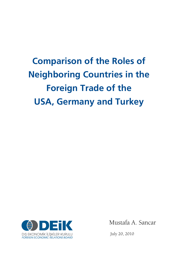# **Comparison of the Roles of Neighboring Countries in the Foreign Trade of the USA, Germany and Turkey**



Mustafa A. Sancar

July 20, 2010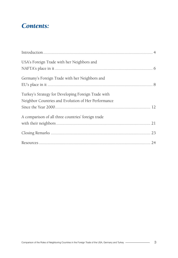### *Contents:*

| USA's Foreign Trade with her Neighbors and          |  |
|-----------------------------------------------------|--|
|                                                     |  |
| Germany's Foreign Trade with her Neighbors and      |  |
|                                                     |  |
| Turkey's Strategy for Developing Foreign Trade with |  |
| Neighbor Countries and Evolution of Her Performance |  |
|                                                     |  |
| A comparison of all three countries' foreign trade  |  |
|                                                     |  |
|                                                     |  |
|                                                     |  |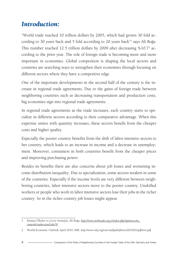### *Introduction:*

"World trade reached 10 trillion dollars by 2005, which had grown 30 fold according to 30 years back and 5 fold according to 20 years back"1 says Ali Boğa. This number reached 12.5 trillion dollars by 2009 after decreasing %10.72 according to the prior year. The role of foreign trade is becoming more and more important in economies. Global competition is shaping the local sectors and countries are searching ways to strengthen their economies through focusing on different sectors where they have a competitive edge.

One of the important developments in the second half of the century is the increase in regional trade agreements. Due to the gains of foreign trade between neighboring countries such as decreasing transportation and production costs, big economies sign into regional trade agreements.

In regional trade agreements as the trade increases, each country starts to specialize in different sectors according to their comparative advantage. When this expertise unites with quantity increases, these sectors benefit from the cheaper costs and higher quality.

Especially the poorer country benefits from the shift of labor intensive sectors to her country, which leads to an increase in income and a decrease in unemployment. Moreover, consumers in both countries benefit from the cheaper prices and improving purchasing power.

Besides its benefits there are also concerns about job losses and worsening income distribution inequality. Due to specialization, some sectors weaken in some of the countries. Especially if the income levels are very different between neighboring countries, labor intensive sectors move to the poorer country. Unskilled workers or people who work in labor intensive sectors lose their jobs in the richer country. So in the richer country job losses might appear.

<sup>1</sup> Komşu Ülkeler ve Çevre Stratejisi, Ali Boğa, *http://www.turktrade.org.tr/index.php?option=com\_ content&task=view&id=78*

<sup>2</sup> World Economic Outlook April 2010, IMF, *http://www.imf.org/external/pubs/ft/weo/2010/01/pdf/text.pdf*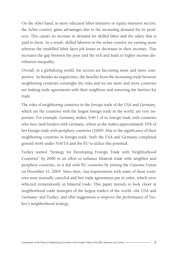On the other hand, in more educated labor intensive or equity intensive sectors, the richer country gains advantages due to the increasing demand for its products. This causes an increase in demand for skilled labor and the salary that is paid to them. As a result, skilled laborers in the richer country are earning more whereas the unskilled labor faces job losses or decreases in their incomes. This increases the gap between the poor and the rich and leads to higher income distribution inequality.

Overall, in a globalizing world, the sectors are becoming more and more competitive. So besides its negativities, the benefits from the increasing trade between neighboring countries outweighs the risks and we see more and more countries are making trade agreements with their neighbors and removing the barriers for trade.

The roles of neighboring countries in the foreign trade of the USA and Germany, which are the countries with the largest foreign trade in the world, are very important. For example, Germany makes %40.1 of its foreign trade with countries who have land borders with Germany, where as she makes approximately 70% of her foreign trade with periphery countries (2009). Due to the significance of their neighboring countries in foreign trade, both the USA and Germany completed ground work under NAFTA and the EU to utilize this potential.

Turkey started "Strategy for Developing Foreign Trade with Neighborhood Countries" by 2000 in an effort to enhance bilateral trade with neighbor and periphery countries, as it did with EU countries by joining the Customs Union on December 31, 2005. Since then, visa requirements with some of these countries were mutually canceled and free trade agreements put in order, which were reflected tremendously in bilateral trade. This paper intends to look closer at neighborhood trade strategies of the largest traders of the world –the USA and Germany- and Turkey, and offer suggestions to improve the performance of Turkey's neighborhood strategy.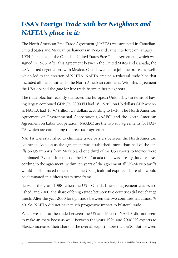## *USA's Foreign Trade with her Neighbors and NAFTA's place in it:*

The North American Free Trade Agreement (NAFTA) was accepted in Canadian, United States and Mexican parliaments in 1993 and came into force on January 1, 1994. It came after the Canada – United States Free Trade Agreement, which was signed in 1988. After this agreement between the United States and Canada, the USA started negotiations with Mexico. Canada wanted to join the process as well, which led to the creation of NAFTA. NAFTA created a trilateral trade bloc that included all the countries in the North American continent. With this agreement the USA opened the gate for free trade between her neighbors.

The trade bloc has recently surpassed the European Union (EU) in terms of having largest combined GDP (By 2009 EU had 16.45 trillion US dollars GDP whereas NAFTA had 16.47 trillion US dollars according to IMF). The North American Agreement on Environmental Cooperation (NAAEC) and the North American Agreement on Labor Cooperation (NAALC) are the two sub agreements for NAF-TA, which are completing the free trade agreement.

NAFTA was established to eliminate trade barriers between the North American countries. As soon as the agreement was established, more than half of the tariffs on US imports from Mexico and one third of the US exports to Mexico were eliminated. By that time most of the US – Canada trade was already duty free. According to the agreement, within ten years of the agreement all US-Mexico tariffs would be eliminated other than some US agricultural exports. Those also would be eliminated in a fifteen years time frame.

Between the years 1988, when the US - Canada bilateral agreement was established, and 2000, the share of foreign trade between two countries did not change much. After the year 2000 foreign trade between the two countries fell almost % 50. So, NAFTA did not have much progressive impact to bilateral trade.

When we look at the trade between the US and Mexico, NAFTA did not seem to make an extra boost as well. Between the years 1994 and 2000 US exports to Mexico increased their share in the over all export, more than %50. But between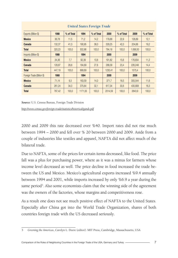| Exports (Billion \$)       | 1988   | % of Total | 1994    | % of Total | 2000    | % of Total | 2009     | % of Total |
|----------------------------|--------|------------|---------|------------|---------|------------|----------|------------|
| <b>Mexico</b>              | 36,78  | 11.5       | 71,2    | 14,2       | 179,88  | 22.9       | 128,89   | 12,1       |
| Canada                     | 132,37 | 41,3       | 190,95  | 38,0       | 329,25  | 42,0       | 204,66   | 19.2       |
| <b>Total</b>               | 320,23 | 100,0      | 502,86  | 100,0      | 784,18  | 100,0      | 1.068,50 | 100,0      |
| Imports (Billion \$)       | 1988   |            | 1994    |            | 2000    |            | 2009     |            |
| <b>Mexico</b>              | 34,36  | 7,7        | 92,39   | 13,8       | 191,82  | 15,6       | 176,654  | 11,2       |
| Canada                     | 128,87 | 28,8       | 184.69  | 27,6       | 288,09  | 23,4       | 226,248  | 14,4       |
| <b>Total</b>               | 447,19 | 100,0      | 668.69  | 100,0      | 1230.41 | 100,0      | 1575.4   | 100,0      |
| Foreign Trade (Billion \$) | 1988   |            | 1994    |            | 2000    |            | 2009     |            |
| <b>Mexico</b>              | 71,14  | 9.3        | 163,59  | 14,0       | 371,7   | 18,5       | 305.544  | 11,6       |
| Canada                     | 261,24 | 34,0       | 375,64  | 32.1       | 617,34  | 30,6       | 430,908  | 16,3       |
| <b>Total</b>               | 767.42 | 100,0      | 1171,55 | 100,0      | 2014.59 | 100,0      | 2643.9   | 100.0      |

#### *United States Foreign Trade*

*Source:* U.S. Census Bureau, Foreign Trade Division

*http://www.census.gov/foreign-trade/statistics/historical/gands.pdf*

2000 and 2009 this rate decreased over %40. Import rates did not rise much between 1994 – 2000 and fell over % 20 between 2000 and 2009. Aside from a couple of industries like textiles and apparel, NAFTA did not affect much of the bilateral trade.

Due to NAFTA, some of the prices for certain items decreased, like food. The price fall was a plus for purchasing power, where as it was a minus for farmers whose income level decreased as well. The price decline in food increased the trade between the US and Mexico. Mexico's agricultural exports increased %9.4 annually between 1994 and 2001, while imports increased by only %6.9 a year during the same period<sup>3</sup>. Also some economists claim that the winning side of the agreement was the owners of the factories, whose margins and competitiveness rose.

As a result one does not see much positive effect of NAFTA to the United States. Especially after China got into the World Trade Organization, shares of both countries foreign trade with the US decreased seriously.

<sup>3</sup> *Greening the Americas*, Carolyn L. Deere (editor). MIT Press, Cambridge, Massachusetts, USA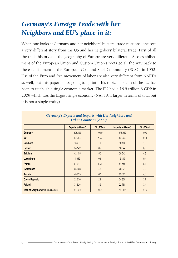### *Germany's Foreign Trade with her Neighbors and EU's place in it:*

When one looks at Germany and her neighbors' bilateral trade relations, one sees a very different story from the US and her neighbors' bilateral trade. First of all the trade history and the geography of Europe are very different. Also establishment of the European Union and Custom Union's roots go all the way back to the establishment of the European Coal and Steel Community (ECSC) in 1952. Use of the Euro and free movement of labor are also very different from NAFTA as well, but this paper is not going to go into this topic. The aim of the EU has been to establish a single economic market. The EU had a 16.5 trillion \$ GDP in 2009 which was the largest single economy (NAFTA is larger in terms of total but it is not a single entity).

| Germany's Exports and Imports with Her Neighbors and<br><b>Other Countries (2009)</b> |                               |            |                        |            |  |  |  |  |
|---------------------------------------------------------------------------------------|-------------------------------|------------|------------------------|------------|--|--|--|--|
|                                                                                       | Exports (million $\epsilon$ ) | % of Total | Imports (million $E$ ) | % of Total |  |  |  |  |
| Germany                                                                               | 808.155                       | 100,0      | 673.962                | 100,0      |  |  |  |  |
| <b>EU</b>                                                                             | 508,400                       | 62,9       | 392,600                | 58,3       |  |  |  |  |
| <b>Denmark</b>                                                                        | 13.271                        | 1,6        | 10.443                 | 1,5        |  |  |  |  |
| <b>Holland</b>                                                                        | 54.142                        | 6,7        | 58.044                 | 8.6        |  |  |  |  |
| <b>Belgium</b>                                                                        | 42.155                        | 5,2        | 29.242                 | 4,3        |  |  |  |  |
| <b>Luxemburg</b>                                                                      | 4.652                         | 0.6        | 2.849                  | 0.4        |  |  |  |  |
| <b>France</b>                                                                         | 81.941                        | 10,1       | 54.559                 | 8,1        |  |  |  |  |
| <b>Switzerland</b>                                                                    | 35,323                        | 4,4        | 28.071                 | 4,2        |  |  |  |  |
| <b>Austria</b>                                                                        | 48.235                        | 6,0        | 29,083                 | 4,3        |  |  |  |  |
| <b>Czech Republic</b>                                                                 | 22,636                        | 2,8        | 24,908                 | 3,7        |  |  |  |  |
| <b>Poland</b>                                                                         | 31.626                        | 3.9        | 22.768                 | 3,4        |  |  |  |  |
| <b>Total of Neighbors</b> (with land border)                                          | 333.981                       | 41,3       | 259,967                | 38,6       |  |  |  |  |

# *Germany's Exports and Imports with Her Neighbors and*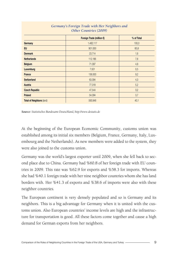|                                  | Foreign Trade (million $\epsilon$ ) | % of Total |
|----------------------------------|-------------------------------------|------------|
| Germany                          | 1.482.117                           | 100,0      |
| <b>EU</b>                        | 901.000                             | 60,8       |
| <b>Denmark</b>                   | 23.714                              | 1,6        |
| <b>Netherlands</b>               | 112.186                             | 7,6        |
| <b>Belgium</b>                   | 71.397                              | 4,8        |
| <b>Luxemburg</b>                 | 7.501                               | 0,5        |
| France                           | 136.500                             | 9,2        |
| <b>Switzerland</b>               | 63.394                              | 4,3        |
| <b>Austria</b>                   | 77.318                              | 5,2        |
| <b>Czech Republic</b>            | 47.544                              | 3,2        |
| Poland                           | 54.394                              | 3,7        |
| <b>Total of Neighbors (land)</b> | 593.948                             | 40,1       |

#### *Germany's Foreign Trade with Her Neighbors and Other Countries (2009)*

*Source: Statistisches Bundesamt Deutschland, http://www.destatis.de*

At the beginning of the European Economic Community, customs union was established among its initial six members (Belgium, France, Germany, Italy, Luxembourg and the Netherlands). As new members were added to the system, they were also joined to the customs union.

Germany was the world's largest exporter until 2009, when she fell back to second place due to China. Germany had %60.8 of her foreign trade with EU countries in 2009. This rate was %62.9 for exports and %58.3 for imports. Whereas she had %40.1 foreign trade with her nine neighbor countries whom she has land borders with. Her %41.3 of exports and %38.6 of imports were also with these neighbor countries.

The European continent is very densely populated and so is Germany and its neighbors. This is a big advantage for Germany when it is united with the customs union. Also European countries' income levels are high and the infrastructure for transportation is good. All these factors come together and cause a high demand for German exports from her neighbors.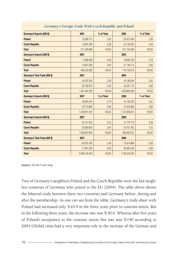| Germany's Exports (000 \$)     | 2001          | % of Total | 2004          | % of Total |
|--------------------------------|---------------|------------|---------------|------------|
| Poland                         | 13.389.772    | 2,34       | 23.372.484    | 2,56       |
| <b>Czech Republic</b>          | 12.891.595    | 2,26       | 22.135.004    | 2,43       |
| <b>Total</b>                   | 571.426.688   | 100,00     | 911.742.080   | 100,00     |
| Germany's Imports (000 \$)     | 2001          |            | 2004          |            |
| <b>Poland</b>                  | 11.908.058    | 2,45       | 19.826.756    | 2,76       |
| <b>Czech Republic</b>          | 12.847.280    | 2,64       | 21.146.714    | 2,94       |
| <b>Total</b>                   | 486.022.080   | 100,00     | 718.150.016   | 100,00     |
| Germany's Total Trade (000 \$) | 2001          |            | 2004          |            |
| Poland                         | 25.297.830    | 2,39       | 43.199.240    | 2,65       |
| <b>Czech Republic</b>          | 25.738.875    | 2,43       | 43.281.718    | 2,66       |
| <b>Total</b>                   | 1.057.448.768 | 100,00     | 1.629.892.096 | 100,00     |
|                                |               |            |               |            |
| Germany's Exports (000 \$)     | 2007          | % of Total | 2009          | % of Total |
| Poland                         | 49.555.244    | 3,73       | 44.138.792    | 3,91       |
| <b>Czech Republic</b>          | 35,713,660    | 2.69       | 31.635.896    | 2,80       |
| <b>Total</b>                   | 1.328.841.344 | 100,00     | 1.127.839.872 | 100,00     |
| Germany's Imports (000 \$)     | 2007          |            | 2009          |            |
| Poland                         | 33.121.522    | 3,13       | 31.776.176    | 3,39       |
| <b>Czech Republic</b>          | 35,983,600    | 3,40       | 34.757.452    | 3,70       |
| <b>Total</b>                   | 1.059.307.840 | 100,00     | 938.363.072   | 100,00     |
| Germany's Total Trade (000 \$) | 2007          |            | 2009          |            |
| Poland                         | 82,676,766    | 3,46       | 75.914.968    | 6,36       |
| <b>Czech Republic</b>          | 71.697.260    | 3,00       | 66.393.348    | 5,56       |

#### *Germany's Foreign Trade With Czech Republic and Poland*

**Source:** *World Trade Map*

Two of Germany's neighbors Poland and the Czech Republic were the last neighbor countries of Germany who joined to the EU (2004). The table above shows the bilateral trade between these two countries and Germany before, during and after the membership. As one can see from the table, Germany's trade share with Poland had increased only %10.9 in the three years prior to customs union. But in the following three years, the increase rate was %30.6. Whereas after five years of Poland's acceptance to the customs union this rate was %140 according to 2004 (Global crisis had a very important role in the increase of the German and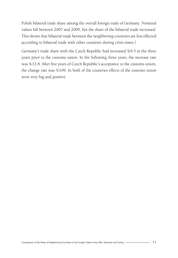Polish bilateral trade share among the overall foreign trade of Germany. Nominal values fall between 2007 and 2009, but the share of the bilateral trade increased. This shows that bilateral trade between the neighboring countries are less effected according to bilateral trade with other countries during crisis times.)

Germany's trade share with the Czech Republic had increased %9.5 in the three years prior to the customs union. In the following three years, the increase rate was %12.8. After five years of Czech Republic's acceptance to the customs union, the change rate was %109. In both of the countries effects of the customs union were very big and positive.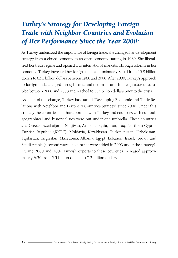## *Turkey's Strategy for Developing Foreign Trade with Neighbor Countries and Evolution of Her Performance Since the Year 2000:*

As Turkey understood the importance of foreign trade, she changed her development strategy from a closed economy to an open economy starting in 1980. She liberalized her trade regime and opened it to international markets. Through reforms in her economy, Turkey increased her foreign trade approximately 8 fold from 10.8 billion dollars to 82.3 billion dollars between 1980 and 2000. After 2000, Turkey's approach to foreign trade changed through structural reforms. Turkish foreign trade quadrupled between 2000 and 2008 and reached to 334 billion dollars prior to the crisis.

As a part of this change, Turkey has started "Developing Economic and Trade Relations with Neighbor and Periphery Countries Strategy" since 2000. Under this strategy the countries that have borders with Turkey and countries with cultural, geographical and historical ties were put under one umbrella. These countries are; Greece, Azerbaijan – Nahjivan, Armenia, Syria, Iran, Iraq, Northern Cyprus Turkish Republic (KKTC), Moldavia, Kazakhstan, Turkmenistan, Uzbekistan, Tajikistan, Kirgizstan, Macedonia, Albania, Egypt, Lebanon, Israel, Jordan, and Saudi Arabia (a second wave of countries were added in 2003 under the strategy). During 2000 and 2002 Turkish exports to these countries increased approximately %30 from 5.5 billion dollars to 7.2 billion dollars.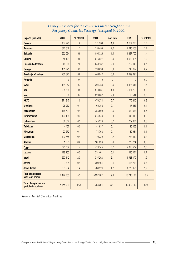| <b>Exports (million\$)</b>                           | 2000           | % of total     | 2004         | % of total   | 2009           | % of total |
|------------------------------------------------------|----------------|----------------|--------------|--------------|----------------|------------|
| Greece                                               | 437 725        | 1,6            | 1 171 203    | 1,9          | 1634076        | 1,6        |
| Romania                                              | 325 818        | 1,2            | 1 235 485    | 2.0          | 2 2 1 5 1 6 8  | 2.2        |
| <b>Bulgaria</b>                                      | 252 934        | 0.9            | 894 326      | 1,4          | 1 387 709      | 1,4        |
| <b>Ukraine</b>                                       | 258 121        | 0.9            | 575827       | 0.9          | 1033426        | 1,0        |
| <b>Russian Federation</b>                            | 643 903        | 2,3            | 1859 187     | 2,9          | 3 202 046      | 3,1        |
| Georgia                                              | 131 771        | 0,5            | 199 699      | 0.3          | 746 022        | 0.7        |
| Azerbaijan-Nahjivan                                  | 230 375        | 0,8            | 403 942      | 0,6          | 1 399 494      | 1,4        |
| <b>Armenia</b>                                       | $\mathbf{0}$   | $\mathbf{0}$   | $\mathbf{0}$ | $\mathbf{0}$ | $\overline{2}$ | 0.0        |
| <b>Syria</b>                                         | 184 267        | 0,7            | 394 783      | 0,6          | 1424611        | 1,4        |
| Iran                                                 | 235 785        | 0,8            | 813031       | 1,3          | 2 0 24 7 59    | 2,0        |
| Iraq                                                 | $\overline{0}$ | $\overline{0}$ | 1820802      | 2.9          | 5 123 514      | 5,0        |
| <b>KKTC</b>                                          | 271 347        | 1,0            | 470 274      | 0.7          | 770 845        | 0,8        |
| <b>Moldavia</b>                                      | 26 232         | 0,1            | 66 352       | 0,1          | 117 686        | 0,1        |
| <b>Kazakhstan</b>                                    | 118 701        | 0.4            | 355 590      | 0,6          | 633 534        | 0,6        |
| <b>Turkmenistan</b>                                  | 120 155        | 0.4            | 214 848      | 0,3          | 945 018        | 0.9        |
| <b>Uzbekistan</b>                                    | 82 647         | 0.3            | 145 226      | 0,2          | 279 054        | 0,3        |
| <b>Tajikistan</b>                                    | 4 4 6 7        | 0,0            | 41 637       | 0,1          | 126 469        | 0,1        |
| Kirgizstan                                           | 20572          | 0,1            | 74 702       | 0.1          | 139 984        | 0,1        |
| <b>Macedonia</b>                                     | 107 765        | 0,4            | 149 330      | 0,2          | 283 419        | 0,3        |
| <b>Albania</b>                                       | 61 30 5        | 0,2            | 161 028      | 0,3          | 273 274        | 0.3        |
| Egypt                                                | 375 707        | 1,4            | 473 145      | 0.7          | 2618572        | 2,6        |
| Lebanon                                              | 129 265        | 0,5            | 234 401      | 0,4          | 686 454        | 0,7        |
| <b>Israel</b>                                        | 650 142        | 2,3            | 1 315 292    | 2,1          | 1528370        | 1,5        |
| Jordan                                               | 99 534         | 0,4            | 229 464      | 0,4          | 455 298        | 0,4        |
| Saudi Arabia                                         | 386 554        | 1,4            | 768 519      | 1,2          | 1770957        | 1,7        |
| <b>Total of neighbors</b><br>with land border        | 1472856        | 5,3            | 5 697 787    | 9,0          | 13 740 187     | 13,5       |
| <b>Total of neighbors and</b><br>peripheri countries | 5 155 093      | 18,6           | 14 068 094   | 22,1         | 30 819 759     | 30,0       |

#### *Turkey's Exports for the countries under Neighbor and Periphery Countries Strategy (accepted in 2000)*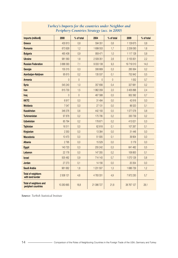| Imports (million\$)                                  | 2000       | % of total     | 2004          | % of total     | 2009       | % of total |
|------------------------------------------------------|------------|----------------|---------------|----------------|------------|------------|
| Greece                                               | 430 813    | 0,8            | 594 351       | 0,6            | 1 129 675  | 0,8        |
| Romania                                              | 673 928    | 1,2            | 1699553       | 1,7            | 2 258 093  | 1,6        |
| <b>Bulgaria</b>                                      | 465 408    | 0,9            | 959 471       | 1,0            | 1 117 128  | 0.8        |
| <b>Ukraine</b>                                       | 981 560    | 1,8            | 2 509 351     | 2,6            | 3 155 831  | 2.2        |
| <b>Russian Federation</b>                            | 3 886 583  | 7,1            | 9033138       | 9,3            | 19719510   | 14,0       |
| Georgia                                              | 155 315    | 0.3            | 306 669       | 0.3            | 285 564    | 0.2        |
| Azerbaijan-Nahjivan                                  | 95 615     | 0.2            | 135 537       | 0,1            | 752 842    | 0,5        |
| <b>Armenia</b>                                       | $\Omega$   | $\mathbf{0}$   | $\mathbf{0}$  | $\overline{0}$ | 1052       | 0.7        |
| <b>Syria</b>                                         | 545 240    | 1,0            | 357 656       | 0,4            | 327 681    | 0.2        |
| Iran                                                 | 815730     | 1,5            | 1962059       | 2,0            | 3 405 896  | 2,4        |
| Iraq                                                 | $\Omega$   | $\overline{0}$ | 467 588       | 0,5            | 952 392    | 0,7        |
| <b>KKTC</b>                                          | 6917       | 0.0            | 31 494        | 0,0            | 42816      | 0,0        |
| <b>Moldavia</b>                                      | 7047       | 0.0            | 27 131        | 0,0            | 86 520     | 0,1        |
| <b>Kazakhstan</b>                                    | 346 376    | 0.6            | 442 193       | 0,5            | 1077078    | 0,8        |
| <b>Turkmenistan</b>                                  | 97878      | 0.2            | 175 795       | 0.2            | 330 739    | 0.2        |
| <b>Uzbekistan</b>                                    | 85 794     | 0.2            | 178 671       | 0.2            | 413 021    | 0,3        |
| <b>Tajikistan</b>                                    | 16511      | 0,0            | 62818         | 0,1            | 107 267    | 0,1        |
| Kirgizstan                                           | 2 3 5 0    | 0.0            | 13 3 84       | 0.0            | 31 446     | 0,0        |
| <b>Macedonia</b>                                     | 10 470     | 0,0            | 51 935        | 0,1            | 39 904     | 0,0        |
| <b>Albania</b>                                       | 2795       | 0,0            | 15 5 29       | 0.0            | 5 1 7 9    | 0,0        |
| Egypt                                                | 140 720    | 0.3            | 255 242       | 0.3            | 641 482    | 0,5        |
| Lebanon                                              | 22 178     | 0,0            | 147 355       | 0,2            | 108 800    | 0,1        |
| <b>Israel</b>                                        | 505 482    | 0.9            | 714 143       | 0.7            | 1070128    | 0,8        |
| Jordan                                               | 27 27 3    | 0,1            | 14 15 6       | 0,0            | 20 354     | 0,0        |
| Saudi Arabia                                         | 961 682    | 1,8            | 1 2 3 1 5 0 7 | 1,3            | 1686729    | 1,2        |
| <b>Total of neighbors</b><br>with land border        | 2 508 121  | 4,6            | 4783331       | 4,9            | 7 972 230  | 5,7        |
| <b>Total of neighbors and</b><br>peripheri countries | 10 283 665 | 18,8           | 21 386 727    | 21,8           | 38 767 127 | 28,1       |

#### *Turkey's Imports for the countries under Neighbor and Periphery Countries Strategy (acc. in 2000)*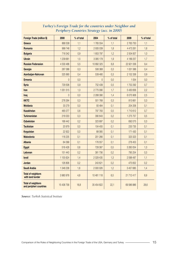| <b>Foreign Trade (million \$)</b>                    | 2000         | % of total | 2004        | % of total | 2009       | % of total |
|------------------------------------------------------|--------------|------------|-------------|------------|------------|------------|
| Greece                                               | 868 538      | 1,1        | 1765 554    | 1,1        | 2763750    | 1,1        |
| Romania                                              | 999 746      | 1,2        | 2935039     | 1,8        | 4 473 261  | 1,8        |
| <b>Bulgaria</b>                                      | 718 342      | 0,9        | 1853797     | 1,2        | 2 504 837  | 1,0        |
| <b>Ukrain</b>                                        | 1 239 681    | 1,5        | 3 085 178   | 1,9        | 4 189 257  | 1,7        |
| <b>Russian Federasion</b>                            | 4 530 486    | 5,5        | 10 892 325  | 6.8        | 22 921 556 | 9,4        |
| Georgia                                              | 287 086      | 0.3        | 506 368     | 0.3        | 1031586    | 0,4        |
| Azerbaijan-Nahcıvan                                  | 325 990      | 0,4        | 539 480     | 0.3        | 2 152 336  | 0.9        |
| <b>Ermenia</b>                                       | $\mathbf{0}$ | 0,0        | 0           | 0,0        | 1054       | 0,0        |
| <b>Syria</b>                                         | 729 506      | 0,9        | 752 439     | 0.5        | 1752 292   | 0,7        |
| Iran                                                 | 1051515      | 1,3        | 2775090     | 1,7        | 5 430 656  | 2,2        |
| Iraq                                                 | $\Omega$     | 0,0        | 2 288 390   | 1,4        | 6 075 906  | 2,5        |
| <b>KKTC</b>                                          | 278 264      | 0.3        | 501768      | 0.3        | 813 661    | 0,3        |
| <b>Moldavia</b>                                      | 33 279       | 0,0        | 93 4 84     | 0,1        | 204 206    | 0,1        |
| Kazakhstan                                           | 465 077      | 0,6        | 797 783     | 0.5        | 1710612    | 0,7        |
| <b>Turkmenistan</b>                                  | 218 033      | 0,3        | 390 643     | 0,2        | 1 275 757  | 0,5        |
| <b>Ozbekistan</b>                                    | 168 442      | 0.2        | 323 897     | 0.2        | 692 075    | 0,3        |
| <b>Tacikistan</b>                                    | 20 979       | 0.0        | 104 455     | 0,1        | 233735     | 0,1        |
| Kırgızistan                                          | 22 9 22      | 0.0        | 88 0 85     | 0,1        | 171 430    | 0,1        |
| <b>Makedonia</b>                                     | 118 235      | 0,1        | 201 266     | 0,1        | 323 323    | 0,1        |
| <b>Albania</b>                                       | 64 099       | 0,1        | 176 557     | 0,1        | 278 453    | 0,1        |
| Egypt                                                | 516 428      | 0,6        | 728 387     | 0,5        | 3 260 054  | 1,3        |
| Lebonan                                              | 151 443      | 0.2        | 381756      | 0.2        | 795 254    | 0.3        |
| <b>Israil</b>                                        | 1 155 624    | 1,4        | 2 0 29 4 35 | 1,3        | 2 598 497  | 1,1        |
| <b>Jordan</b>                                        | 126 806      | 0.2        | 243 621     | 0.2        | 475 652    | 0.2        |
| Saudi Arabia                                         | 1 348 236    | 1,6        | 2 000 026   | 1.2        | 3 457 685  | 1,4        |
| <b>Total of neighbors</b><br>with land border        | 3 980 978    | 4,8        | 10 481 118  | 6,5        | 21 712 417 | 8,9        |
| <b>Total of neighbors</b><br>and peripheri countries | 15 438 758   | 18,8       | 35 454 822  | 22,1       | 69 586 886 | 28,6       |

#### *Turkey's Foreign Trade for the countries under Neighbor and Periphery Countries Strategy (acc. in 2000)*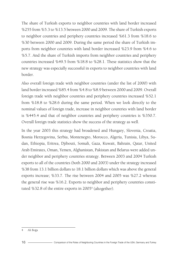The share of Turkish exports to neighbor countries with land border increased %255 from %5.3 to %13.5 between 2000 and 2009. The share of Turkish exports to neighbor countries and periphery countries increased %61.3 from %18.6 to %30 between 2000 and 2009. During the same period the share of Turkish imports from neighbor countries with land border increased %23.9 from %4.6 to %5.7. And the share of Turkish imports from neighbor countries and periphery countries increased %49.5 from %18.8 to %28.1. These statistics show that the new strategy was especially successful in exports to neighbor countries with land border.

Also overall foreign trade with neighbor countries (under the list of 2000) with land border increased %85.4 from %4.8 to %8.9 between 2000 and 2009. Overall foreign trade with neighbor countries and periphery countries increased %52.1 from %18.8 to %28.6 during the same period. When we look directly to the nominal values of foreign trade, increase in neighbor countries with land border is %445.4 and that of neighbor countries and periphery countries is %350.7. Overall foreign trade statistics show the success of the strategy as well.

In the year 2003 this strategy had broadened and Hungary, Slovenia, Croatia, Bosnia Herzegovina, Serbia, Montenegro, Morocco, Algeria, Tunisia, Libya, Sudan, Ethiopia, Eritrea, Djibouti, Somali, Gaza, Kuwait, Bahrain, Qatar, United Arab Emirates, Oman, Yemen, Afghanistan, Pakistan and Belarus were added under neighbor and periphery countries strategy. Between 2003 and 2004 Turkish exports to all of the countries (both 2000 and 2003) under the strategy increased %38 from 13.1 billion dollars to 18.1 billion dollars which was above the general exports increase; %33.7. The rise between 2004 and 2005 was %27.2 whereas the general rise was %16.2. Exports to neighbor and periphery countries constituted %32.8 of the entire exports in 2005<sup>4</sup> (altogether).

<sup>4</sup> Ali Boğa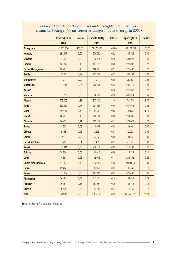|                             | <b>Exports (000 \$)</b> | Total % | <b>Exports (000 \$)</b> | Total % | <b>Exports (000 \$)</b> | Total % |
|-----------------------------|-------------------------|---------|-------------------------|---------|-------------------------|---------|
|                             | 2003                    |         | 2005                    |         | 2009                    |         |
| <b>Turkey total</b>         | 47.252.836              | 100,00  | 73.476.408              | 100,00  | 102.128.759             | 100,00  |
| <b>Hungary</b>              | 284.647                 | 0.60    | 379.092                 | 0,52    | 445.725                 | 0,44    |
| <b>Slovenia</b>             | 102.588                 | 0,22    | 332.410                 | 0,45    | 594.923                 | 0,58    |
| <b>Croatia</b>              | 85.598                  | 0,18    | 167.991                 | 0,23    | 221.092                 | 0,22    |
| Bosnia-Herzegovina          | 63.227                  | 0,13    | 128.217                 | 0,17    | 226.467                 | 0,22    |
| <b>Serbia</b>               | 184.676                 | 0,39    | 257.879                 | 0,35    | 306.439                 | 0,30    |
| Montenegro                  | $\overline{0}$          | 0,00    | $\overline{0}$          | 0,00    | 26.483                  | 0.03    |
| <b>Macedonia</b>            | 122.715                 | 0,26    | 162.476                 | 0,22    | 283.419                 | 0,28    |
| Kosovo                      | $\overline{0}$          | 0.00    | $\overline{0}$          | 0,00    | 278.053                 | 0,27    |
| <b>Morocco</b>              | 180.779                 | 0.38    | 370.825                 | 0,50    | 600.574                 | 0,59    |
| Algeria                     | 573.002                 | 1,21    | 807.138                 | 1,10    | 1.781.751               | 1,74    |
| <b>Tunis</b>                | 220.015                 | 0,47    | 294.785                 | 0,40    | 647.075                 | 0.63    |
| Libya                       | 254.741                 | 0.54    | 384.167                 | 0,52    | 1.799.251               | 1,76    |
| <b>Sudan</b>                | 63.791                  | 0,13    | 145.232                 | 0,20    | 244.805                 | 0,24    |
| <b>Ethiopia</b>             | 50.739                  | 0,11    | 109.378                 | 0,15    | 229.023                 | 0.22    |
| <b>Eritrea</b>              | 14.907                  | 0.03    | 11.609                  | 0.02    | 2.698                   | 0.00    |
| <b>Djibouti</b>             | 5.363                   | 0,01    | 7.128                   | 0.01    | 42.923                  | 0,04    |
| <b>Somali</b>               | 220                     | 0,00    | 2.207                   | 0,00    | 3.585                   | 0,00    |
| <b>Gaza (Palestine)</b>     | 6.489                   | 0,01    | 9.401                   | 0,01    | 29.523                  | 0,03    |
| <b>Kuwait</b>               | 165.941                 | 0,35    | 210.349                 | 0,29    | 211.291                 | 0,21    |
| <b>Bahrain</b>              | 28.856                  | 0,06    | 41.915                  | 0,06    | 113.712                 | 0,11    |
| Qatar                       | 15.688                  | 0,03    | 82.045                  | 0,11    | 289.362                 | 0,28    |
| <b>United Arab Emirates</b> | 702.908                 | 1,49    | 1.675.187               | 2,28    | 2.898.579               | 2,84    |
| Oman                        | 22.484                  | 0,05    | 39.959                  | 0,05    | 105.540                 | 0,10    |
| Yemen                       | 156.069                 | 0,33    | 197.193                 | 0,27    | 379.496                 | 0,37    |
| Afghanistan                 | 36.489                  | 0,08    | 113.401                 | 0,15    | 233.619                 | 0,23    |
| <b>Pakistan</b>             | 70.354                  | 0,15    | 187.554                 | 0,26    | 163.113                 | 0,16    |
| <b>Belarus</b>              | 19.579                  | 0,04    | 49.785                  | 0,07    | 119.160                 | 0,12    |
| <b>Total</b>                | 3.431.865               | 7,26    | 6.167.323               | 8,39    | 12.277.681              | 12,02   |

#### *Turkey's Exports for the countries under Neighbor and Periphery Countries Strategy (for the countries accepted to the strategy in 2003)*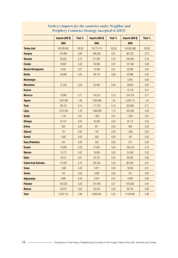|                             | <b>Imports (000 \$)</b> | Total % | Imports (000 \$) | Total % | Imports (000 \$) | Total % |
|-----------------------------|-------------------------|---------|------------------|---------|------------------|---------|
|                             | 2003                    |         | 2005             |         | 2009             |         |
| <b>Turkey total</b>         | 69.339.692              | 100,00  | 116.774.151      | 100,00  | 140.920.880      | 100,00  |
| <b>Hungary</b>              | 416.863                 | 0.60    | 946.238          | 0,81    | 987.331          | 0,70    |
| <b>Slovenia</b>             | 93.022                  | 0,13    | 217.867          | 0,19    | 249.583          | 0,18    |
| <b>Croatia</b>              | 16.697                  | 0.02    | 85.569           | 0,07    | 107.384          | 0,08    |
| Bosnia-Herzegovina          | 8.343                   | 0,01    | 15.399           | 0,01    | 52.090           | 0,04    |
| <b>Serbia</b>               | 29.988                  | 0.04    | 96.719           | 0,08    | 55.996           | 0,04    |
| <b>Montenegro</b>           |                         |         |                  |         | 5.845            | 0,00    |
| <b>Macedonia</b>            | 27.342                  | 0.04    | 52.080           | 0,04    | 39.904           | 0,03    |
| Kosovo                      |                         |         |                  |         | 10.178           | 0,01    |
| <b>Morocco</b>              | 76.990                  | 0,11    | 143.231          | 0,12    | 234.729          | 0,17    |
| Algeria                     | 1.081.586               | 1,56    | 1.694.989        | 1,45    | 2.028.115        | 1,44    |
| <b>Tunis</b>                | 98.140                  | 0,14    | 117.372          | 0,10    | 234.980          | 0,17    |
| Libya                       | 1.072.548               | 1,55    | 1.989.269        | 1,70    | 402.568          | 0.29    |
| <b>Sudan</b>                | 7.144                   | 0,01    | 7.955            | 0,01    | 7.262            | 0,01    |
| <b>Ethiopia</b>             | 20.131                  | 0.03    | 30.293           | 0,03    | 35.115           | 0,02    |
| <b>Eritrea</b>              | 326                     | 0.00    | 621              | 0,00    | 588              | 0,00    |
| <b>Djibouti</b>             | 124                     | 0,00    | 100              | 0,00    | 1.062            | 0,00    |
| <b>Somali</b>               | 1.822                   | 0,00    | 839              | 0,00    | 164              | 0,00    |
| <b>Gaza (Palestine)</b>     | 454                     | 0.00    | 304              | 0,00    | 274              | 0,00    |
| <b>Kuwait</b>               | 15,909                  | 0.02    | 41.604           | 0,04    | 184.219          | 0,13    |
| <b>Bahrain</b>              | 15.173                  | 0,02    | 18.929           | 0,02    | 24.289           | 0,02    |
| Qatar                       | 8.310                   | 0.01    | 50.725           | 0.04    | 85.652           | 0.06    |
| <b>United Arab Emirates</b> | 113.597                 | 0,16    | 205.442          | 0,18    | 667,857          | 0,47    |
| Oman                        | 1.293                   | 0.00    | 3.871            | 0,00    | 16.584           | 0,01    |
| Yemen                       | 130                     | 0.00    | 3.085            | 0,00    | 310              | 0,00    |
| Afghanistan                 | 2.684                   | 0.00    | 8.301            | 0.01    | 4.649            | 0,00    |
| <b>Pakistan</b>             | 192.028                 | 0,28    | 315.463          | 0,27    | 619.030          | 0,44    |
| <b>Belarus</b>              | 29.474                  | 0,04    | 46.578           | 0,04    | 83.732           | 0,06    |
| <b>Total</b>                | 3.330.118               | 4,80    | 6.092.843        | 5,22    | 6.139.490        | 4,36    |

#### *Turkey's Imports for the countries under Neighbor and Periphery Countries Strategy (accepted in 2003)*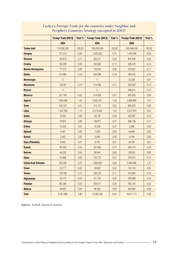|                             | Foreign Trade (000 \$) | Total % | Foreign Trade (000 \$) | Total % | Foreign Trade (000 \$) | Total % |
|-----------------------------|------------------------|---------|------------------------|---------|------------------------|---------|
|                             | 2003                   |         | 2005                   |         | 2009                   |         |
| <b>Turkey total</b>         | 116.592.528            | 100,00  | 190.250.559            | 100,00  | 243.049.639            | 100,00  |
| <b>Hungary</b>              | 701.510                | 0.60    | 1.325.330              | 0,70    | 1.433.056              | 0.59    |
| Slovenia                    | 195.610                | 0,17    | 550.277                | 0,29    | 844.506                | 0,35    |
| <b>Croatia</b>              | 102.295                | 0,09    | 253.560                | 0,13    | 328.476                | 0,14    |
| Bosnia-Herzegovina          | 71.570                 | 0,06    | 143.616                | 0.08    | 278.557                | 0,11    |
| <b>Serbia</b>               | 214.664                | 0,18    | 354.598                | 0,19    | 362.435                | 0,15    |
| <b>Montenegro</b>           | $\overline{0}$         |         | $\overline{0}$         |         | 32.328                 | 0,01    |
| <b>Macedonia</b>            | 150.057                | 0,13    | 214.556                | 0,11    | 323.323                | 0,13    |
| Kosovo                      | $\overline{0}$         |         | $\overline{0}$         |         | 288.231                | 0,12    |
| <b>Morocco</b>              | 257.769                | 0,22    | 514.056                | 0.27    | 835.303                | 0,34    |
| <b>Algeria</b>              | 1.654.588              | 1,42    | 2.502.127              | 1,32    | 3.809.866              | 1,57    |
| <b>Tunis</b>                | 318.155                | 0,27    | 412.157                | 0,22    | 882.055                | 0,36    |
| Libya                       | 1.327.289              | 1,14    | 2.373.436              | 1,25    | 2.201.819              | 0,91    |
| <b>Sudan</b>                | 70.935                 | 0.06    | 153,187                | 0.08    | 252,067                | 0,10    |
| <b>Ethiopia</b>             | 70.870                 | 0,06    | 139.671                | 0,07    | 264.138                | 0,11    |
| <b>Eritrea</b>              | 15.233                 | 0,01    | 12.230                 | 0,01    | 3.286                  | 0,00    |
| <b>Djibouti</b>             | 5.487                  | 0,00    | 7.228                  | 0,00    | 43.985                 | 0,02    |
| <b>Somali</b>               | 2.042                  | 0.00    | 3.046                  | 0,00    | 3.749                  | 0,00    |
| <b>Gaza (Palestine)</b>     | 6.943                  | 0.01    | 9.705                  | 0.01    | 29,797                 | 0.01    |
| <b>Kuwait</b>               | 181.850                | 0,16    | 251.953                | 0,13    | 395.510                | 0,16    |
| <b>Bahrain</b>              | 44.029                 | 0,04    | 60.844                 | 0,03    | 138.001                | 0,06    |
| Qatar                       | 23.998                 | 0,02    | 132,770                | 0,07    | 375.014                | 0,15    |
| <b>United Arab Emirates</b> | 816.505                | 0,70    | 1.880.629              | 0,99    | 3.566.436              | 1,47    |
| Oman                        | 23,777                 | 0.02    | 43.830                 | 0.02    | 122.124                | 0.05    |
| Yemen                       | 156.199                | 0,13    | 200.278                | 0,11    | 379.806                | 0,16    |
| Afghanistan                 | 39.173                 | 0,03    | 121.702                | 0,06    | 238.268                | 0,10    |
| <b>Pakistan</b>             | 262.382                | 0,23    | 503.017                | 0,26    | 782.143                | 0,32    |
| <b>Belarus</b>              | 49.053                 | 0,04    | 96.363                 | 0,05    | 202.892                | 0,08    |
| <b>Total</b>                | 6.761.983              | 5,80    | 12.260.166             | 6,44    | 18.417.171             | 7,58    |

#### *Turkey's Foreign Trade for the countries under Neighbor and Periphery Countries Strategy (accepted in 2003)*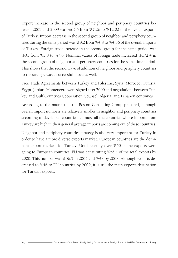Export increase in the second group of neighbor and periphery countries between 2003 and 2009 was %65.6 from %7.26 to %12.02 of the overall exports of Turkey. Import decrease in the second group of neighbor and periphery countries during the same period was %9.2 from %4.8 to %4.36 of the overall imports of Turkey. Foreign trade increase in the second group for the same period was %31 from %5.8 to %7.6. Nominal values of foreign trade increased %172.4 in the second group of neighbor and periphery countries for the same time period. This shows that the second wave of addition of neighbor and periphery countries to the strategy was a successful move as well.

Free Trade Agreements between Turkey and Palestine, Syria, Morocco, Tunisia, Egypt, Jordan, Montenegro were signed after 2000 and negotiations between Turkey and Gulf Countries Cooperation Counsel, Algeria, and Lebanon continues.

According to the matrix that the Boston Consulting Group prepared, although overall import numbers are relatively smaller in neighbor and periphery countries according to developed countries, all most all the countries whose imports from Turkey are high in their general average imports are coming out of these countries.

Neighbor and periphery countries strategy is also very important for Turkey in order to have a more diverse exports market. European countries are the dominant export markets for Turkey. Until recently over %50 of the exports were going to European countries. EU was constituting %56.4 of the total exports by 2000. This number was %56.3 in 2005 and %48 by 2008. Although exports decreased to %46 to EU countries by 2009, it is still the main exports destination for Turkish exports.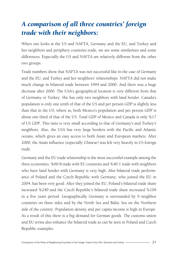## *A comparison of all three countries' foreign trade with their neighbors:*

When one looks at the US and NAFTA, Germany and the EU, and Turkey and her neighbors and periphery countries trade, we see some similarities and some differences. Especially the US and NAFTA are relatively different from the other two groups.

Trade numbers show that NAFTA was not successful like in the case of Germany and the EU, and Turkey and her neighbors' relationships. NAFTA did not make much change in bilateral trade between 1994 and 2000. And there was a huge decrease after 2000. The USA's geographical location is very different from that of Germany or Turkey. She has only two neighbors with land border. Canada's population is only one tenth of that of the US and per person GDP is slightly less than that in the US; where as, both Mexico's population and per person GDP is about one third of that of the US. Total GDP of Mexico and Canada is only %17 of US GDP. This ratio is very small according to that of Germany's and Turkey's neighbors. Also, the USA has very large borders with the Pacific and Atlantic oceans, which gives an easy access to both Asian and European markets. After 2000, the Asian influence (especially Chinese) was felt very heavily in US foreign trade.

Germany and the EU trade relationship is the most successful example among the three economies. %60.8 trade with EU countries and %40.1 trade with neighbors who have land border with Germany is very high. Also bilateral trade performance of Poland and the Czech Republic with Germany, who joined the EU in 2004, has been very good. After they joined the EU, Poland's bilateral trade share increased %240 and the Czech Republic's bilateral trade share increased %109 in a five years period. Geographically Germany is surrounded by 9 neighbor countries on three sides and by the North Sea and Baltic Sea on the Northern side of the country. Population density and per capita income is high in Europe. As a result of this there is a big demand for German goods. The customs union and EU terms also enhance the bilateral trade as can be seen in Poland and Czech Republic examples.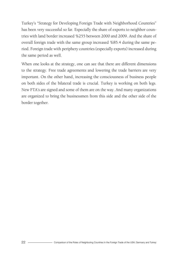Turkey's "Strategy for Developing Foreign Trade with Neighborhood Countries" has been very successful so far. Especially the share of exports to neighbor countries with land border increased %255 between 2000 and 2009. And the share of overall foreign trade with the same group increased %85.4 during the same period. Foreign trade with periphery countries (especially exports) increased during the same period as well.

When one looks at the strategy, one can see that there are different dimensions to the strategy. Free trade agreements and lowering the trade barriers are very important. On the other hand, increasing the consciousness of business people on both sides of the bilateral trade is crucial. Turkey is working on both legs. New FTA's are signed and some of them are on the way. And many organizations are organized to bring the businessmen from this side and the other side of the border together.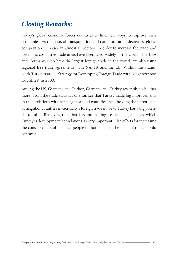### *Closing Remarks:*

Today's global economy forces countries to find new ways to improve their economies. As the costs of transportation and communication decreases, global competition increases in almost all sectors. In order to increase the trade and lower the costs, free trade areas have been used widely in the world. The USA and Germany, who have the largest foreign trade in the world, are also using regional free trade agreements with NAFTA and the EU. Within this framework Turkey started "Strategy for Developing Foreign Trade with Neighborhood Countries" in 2000.

Among the US, Germany and Turkey, Germany and Turkey resemble each other more. From the trade statistics one can see that Turkey made big improvements in trade relations with her neighborhood countries. And holding the importance of neighbor countries in Germany's foreign trade in view, Turkey has a big potential to fulfill. Removing trade barriers and making free trade agreements, which Turkey is developing in her relations, is very important. Also efforts for increasing the consciousness of business people on both sides of the bilateral trade should continue.